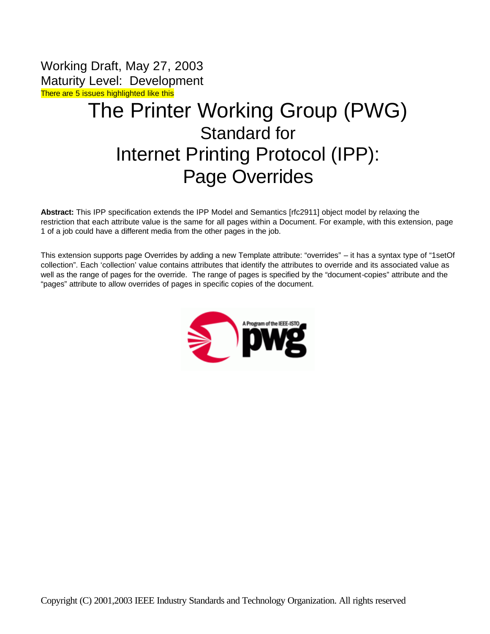Working Draft, May 27, 2003 Maturity Level: Development There are 5 issues highlighted like this

# The Printer Working Group (PWG) Standard for Internet Printing Protocol (IPP): Page Overrides

**Abstract:** This IPP specification extends the IPP Model and Semantics [rfc2911] object model by relaxing the restriction that each attribute value is the same for all pages within a Document. For example, with this extension, page 1 of a job could have a different media from the other pages in the job.

This extension supports page Overrides by adding a new Template attribute: "overrides" – it has a syntax type of "1setOf collection". Each 'collection' value contains attributes that identify the attributes to override and its associated value as well as the range of pages for the override. The range of pages is specified by the "document-copies" attribute and the "pages" attribute to allow overrides of pages in specific copies of the document.

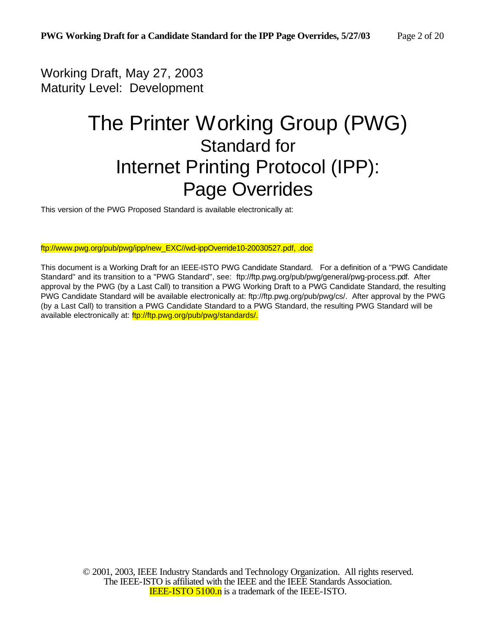Working Draft, May 27, 2003 Maturity Level: Development

# The Printer Working Group (PWG) Standard for Internet Printing Protocol (IPP): Page Overrides

This version of the PWG Proposed Standard is available electronically at:

ftp://www.pwg.org/pub/pwg/ipp/new\_EXC//wd-ippOverride10-20030527.pdf, .doc

This document is a Working Draft for an IEEE-ISTO PWG Candidate Standard. For a definition of a "PWG Candidate Standard" and its transition to a "PWG Standard", see: ftp://ftp.pwg.org/pub/pwg/general/pwg-process.pdf. After approval by the PWG (by a Last Call) to transition a PWG Working Draft to a PWG Candidate Standard, the resulting PWG Candidate Standard will be available electronically at: ftp://ftp.pwg.org/pub/pwg/cs/. After approval by the PWG (by a Last Call) to transition a PWG Candidate Standard to a PWG Standard, the resulting PWG Standard will be available electronically at: ftp://ftp.pwg.org/pub/pwg/standards/.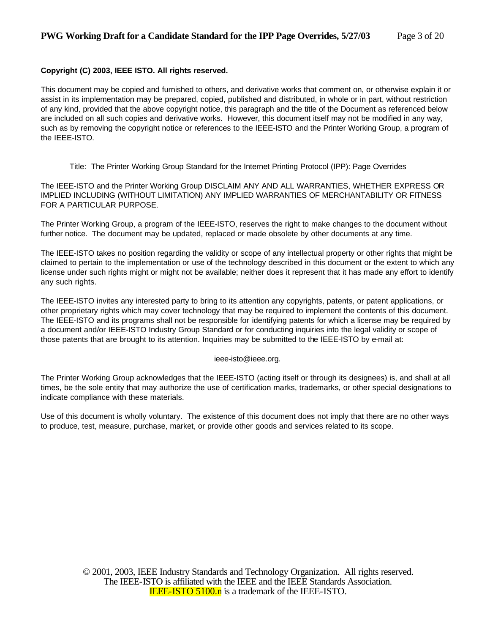#### **Copyright (C) 2003, IEEE ISTO. All rights reserved.**

This document may be copied and furnished to others, and derivative works that comment on, or otherwise explain it or assist in its implementation may be prepared, copied, published and distributed, in whole or in part, without restriction of any kind, provided that the above copyright notice, this paragraph and the title of the Document as referenced below are included on all such copies and derivative works. However, this document itself may not be modified in any way, such as by removing the copyright notice or references to the IEEE-ISTO and the Printer Working Group, a program of the IEEE-ISTO.

Title: The Printer Working Group Standard for the Internet Printing Protocol (IPP): Page Overrides

The IEEE-ISTO and the Printer Working Group DISCLAIM ANY AND ALL WARRANTIES, WHETHER EXPRESS OR IMPLIED INCLUDING (WITHOUT LIMITATION) ANY IMPLIED WARRANTIES OF MERCHANTABILITY OR FITNESS FOR A PARTICULAR PURPOSE.

The Printer Working Group, a program of the IEEE-ISTO, reserves the right to make changes to the document without further notice. The document may be updated, replaced or made obsolete by other documents at any time.

The IEEE-ISTO takes no position regarding the validity or scope of any intellectual property or other rights that might be claimed to pertain to the implementation or use of the technology described in this document or the extent to which any license under such rights might or might not be available; neither does it represent that it has made any effort to identify any such rights.

The IEEE-ISTO invites any interested party to bring to its attention any copyrights, patents, or patent applications, or other proprietary rights which may cover technology that may be required to implement the contents of this document. The IEEE-ISTO and its programs shall not be responsible for identifying patents for which a license may be required by a document and/or IEEE-ISTO Industry Group Standard or for conducting inquiries into the legal validity or scope of those patents that are brought to its attention. Inquiries may be submitted to the IEEE-ISTO by e-mail at:

#### ieee-isto@ieee.org.

The Printer Working Group acknowledges that the IEEE-ISTO (acting itself or through its designees) is, and shall at all times, be the sole entity that may authorize the use of certification marks, trademarks, or other special designations to indicate compliance with these materials.

Use of this document is wholly voluntary. The existence of this document does not imply that there are no other ways to produce, test, measure, purchase, market, or provide other goods and services related to its scope.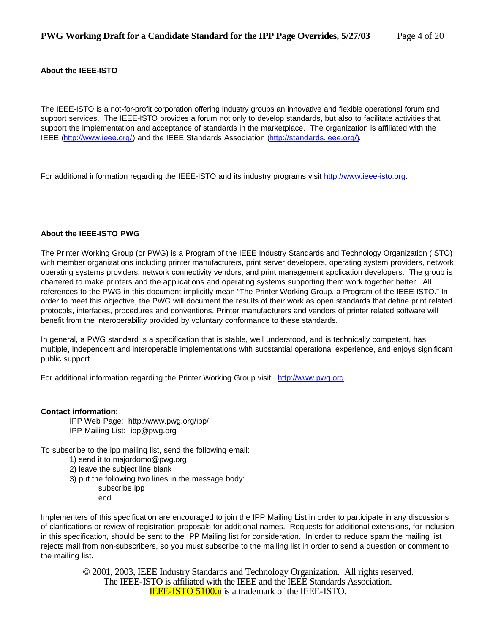#### **About the IEEE-ISTO**

The IEEE-ISTO is a not-for-profit corporation offering industry groups an innovative and flexible operational forum and support services. The IEEE-ISTO provides a forum not only to develop standards, but also to facilitate activities that support the implementation and acceptance of standards in the marketplace. The organization is affiliated with the IEEE (http://www.ieee.org/) and the IEEE Standards Association (http://standards.ieee.org/).

For additional information regarding the IEEE-ISTO and its industry programs visit http://www.ieee-isto.org.

#### **About the IEEE-ISTO PWG**

The Printer Working Group (or PWG) is a Program of the IEEE Industry Standards and Technology Organization (ISTO) with member organizations including printer manufacturers, print server developers, operating system providers, network operating systems providers, network connectivity vendors, and print management application developers. The group is chartered to make printers and the applications and operating systems supporting them work together better. All references to the PWG in this document implicitly mean "The Printer Working Group, a Program of the IEEE ISTO." In order to meet this objective, the PWG will document the results of their work as open standards that define print related protocols, interfaces, procedures and conventions. Printer manufacturers and vendors of printer related software will benefit from the interoperability provided by voluntary conformance to these standards.

In general, a PWG standard is a specification that is stable, well understood, and is technically competent, has multiple, independent and interoperable implementations with substantial operational experience, and enjoys significant public support.

For additional information regarding the Printer Working Group visit: http://www.pwg.org

#### **Contact information:**

IPP Web Page: http://www.pwg.org/ipp/ IPP Mailing List: ipp@pwg.org

To subscribe to the ipp mailing list, send the following email:

- 1) send it to majordomo@pwg.org
- 2) leave the subject line blank
- 3) put the following two lines in the message body:
	- subscribe ipp end

Implementers of this specification are encouraged to join the IPP Mailing List in order to participate in any discussions of clarifications or review of registration proposals for additional names. Requests for additional extensions, for inclusion in this specification, should be sent to the IPP Mailing list for consideration. In order to reduce spam the mailing list rejects mail from non-subscribers, so you must subscribe to the mailing list in order to send a question or comment to the mailing list.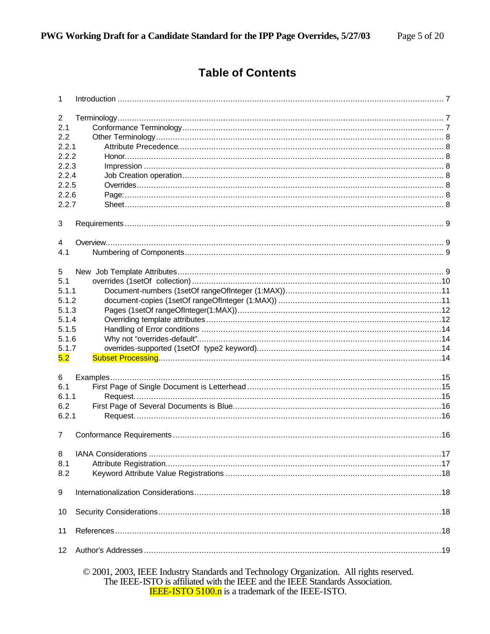### **Table of Contents**

| 1               |                                                                                                                                                                          |  |
|-----------------|--------------------------------------------------------------------------------------------------------------------------------------------------------------------------|--|
| 2               |                                                                                                                                                                          |  |
| 2.1             |                                                                                                                                                                          |  |
| 2.2             |                                                                                                                                                                          |  |
| 2.2.1           |                                                                                                                                                                          |  |
| 2.2.2           |                                                                                                                                                                          |  |
| 2.2.3           |                                                                                                                                                                          |  |
| 2.2.4           |                                                                                                                                                                          |  |
| 2.2.5           |                                                                                                                                                                          |  |
| 2.2.6           |                                                                                                                                                                          |  |
| 2.2.7           |                                                                                                                                                                          |  |
|                 |                                                                                                                                                                          |  |
| 3               |                                                                                                                                                                          |  |
| 4               |                                                                                                                                                                          |  |
| 4.1             |                                                                                                                                                                          |  |
| 5               |                                                                                                                                                                          |  |
| 5.1             |                                                                                                                                                                          |  |
|                 |                                                                                                                                                                          |  |
| 5.1.1           |                                                                                                                                                                          |  |
| 5.1.2           |                                                                                                                                                                          |  |
| 5.1.3           |                                                                                                                                                                          |  |
| 5.1.4           |                                                                                                                                                                          |  |
| 5.1.5           |                                                                                                                                                                          |  |
| 5.1.6           |                                                                                                                                                                          |  |
| 5.1.7           |                                                                                                                                                                          |  |
| 5.2             |                                                                                                                                                                          |  |
| 6               |                                                                                                                                                                          |  |
| 6.1             |                                                                                                                                                                          |  |
| 6.1.1           |                                                                                                                                                                          |  |
| 6.2             |                                                                                                                                                                          |  |
| 6.2.1           |                                                                                                                                                                          |  |
|                 |                                                                                                                                                                          |  |
| 7               |                                                                                                                                                                          |  |
|                 |                                                                                                                                                                          |  |
| 8.1             |                                                                                                                                                                          |  |
| 8.2             |                                                                                                                                                                          |  |
| 9               |                                                                                                                                                                          |  |
|                 |                                                                                                                                                                          |  |
| 10              |                                                                                                                                                                          |  |
| 11              |                                                                                                                                                                          |  |
| 12 <sup>°</sup> |                                                                                                                                                                          |  |
|                 | © 2001, 2003, IEEE Industry Standards and Technology Organization. All rights reserved.<br>The IEEE-ISTO is affiliated with the IEEE and the IEEE Standards Association. |  |

**IEEE-ISTO 5100.n** is a trademark of the IEEE-ISTO.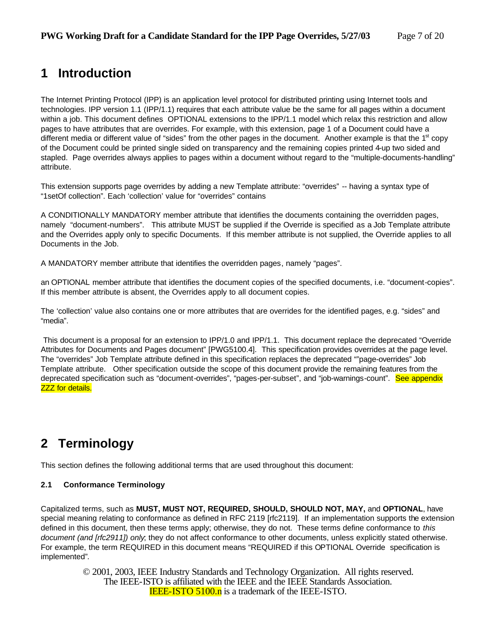### **1 Introduction**

The Internet Printing Protocol (IPP) is an application level protocol for distributed printing using Internet tools and technologies. IPP version 1.1 (IPP/1.1) requires that each attribute value be the same for all pages within a document within a job. This document defines OPTIONAL extensions to the IPP/1.1 model which relax this restriction and allow pages to have attributes that are overrides. For example, with this extension, page 1 of a Document could have a different media or different value of "sides" from the other pages in the document. Another example is that the 1<sup>st</sup> copy of the Document could be printed single sided on transparency and the remaining copies printed 4-up two sided and stapled. Page overrides always applies to pages within a document without regard to the "multiple-documents-handling" attribute.

This extension supports page overrides by adding a new Template attribute: "overrides" -- having a syntax type of "1setOf collection". Each 'collection' value for "overrides" contains

A CONDITIONALLY MANDATORY member attribute that identifies the documents containing the overridden pages, namely "document-numbers". This attribute MUST be supplied if the Override is specified as a Job Template attribute and the Overrides apply only to specific Documents. If this member attribute is not supplied, the Override applies to all Documents in the Job.

A MANDATORY member attribute that identifies the overridden pages, namely "pages".

an OPTIONAL member attribute that identifies the document copies of the specified documents, i.e. "document-copies". If this member attribute is absent, the Overrides apply to all document copies.

The 'collection' value also contains one or more attributes that are overrides for the identified pages, e.g. "sides" and "media".

This document is a proposal for an extension to IPP/1.0 and IPP/1.1. This document replace the deprecated "Override Attributes for Documents and Pages document" [PWG5100.4]. This specification provides overrides at the page level. The "overrides" Job Template attribute defined in this specification replaces the deprecated ""page-overrides" Job Template attribute. Other specification outside the scope of this document provide the remaining features from the deprecated specification such as "document-overrides", "pages-per-subset", and "job-warnings-count". See appendix **ZZZ** for details.

## **2 Terminology**

This section defines the following additional terms that are used throughout this document:

#### **2.1 Conformance Terminology**

Capitalized terms, such as **MUST, MUST NOT, REQUIRED, SHOULD, SHOULD NOT, MAY,** and **OPTIONAL**, have special meaning relating to conformance as defined in RFC 2119 [rfc2119]. If an implementation supports the extension defined in this document, then these terms apply; otherwise, they do not. These terms define conformance to *this document (and [rfc2911]) only*; they do not affect conformance to other documents, unless explicitly stated otherwise. For example, the term REQUIRED in this document means "REQUIRED if this OPTIONAL Override specification is implemented"*.*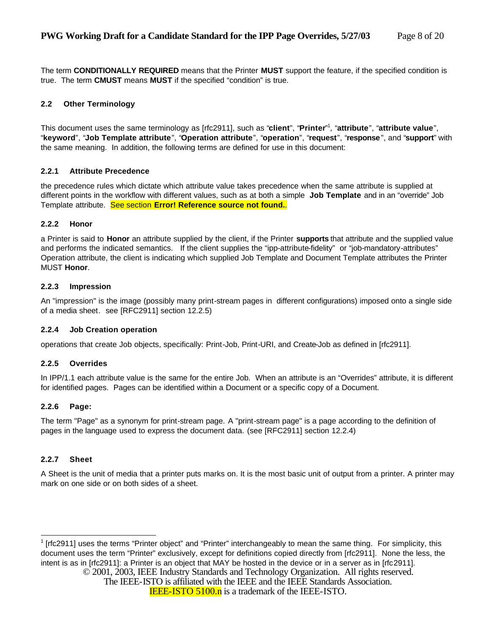The term **CONDITIONALLY REQUIRED** means that the Printer **MUST** support the feature, if the specified condition is true. The term **CMUST** means **MUST** if the specified "condition" is true.

### **2.2 Other Terminology**

This document uses the same terminology as [rfc2911], such as "**client**", "**Printer**" 1 , "**attribute**", "**attribute value**", "**keyword**", "**Job Template attribute**", "**Operation attribute**", "**operation**", "**request**", "**response**", and "**support**" with the same meaning. In addition, the following terms are defined for use in this document:

#### **2.2.1 Attribute Precedence**

the precedence rules which dictate which attribute value takes precedence when the same attribute is supplied at different points in the workflow with different values, such as at both a simple **Job Template** and in an "override" Job Template attribute. See section **Error! Reference source not found.**.

#### **2.2.2 Honor**

a Printer is said to **Honor** an attribute supplied by the client, if the Printer **supports** that attribute and the supplied value and performs the indicated semantics. If the client supplies the "ipp-attribute-fidelity" or "job-mandatory-attributes" Operation attribute, the client is indicating which supplied Job Template and Document Template attributes the Printer MUST **Honor**.

#### **2.2.3 Impression**

An "impression" is the image (possibly many print-stream pages in different configurations) imposed onto a single side of a media sheet. see [RFC2911] section 12.2.5)

#### **2.2.4 Job Creation operation**

operations that create Job objects, specifically: Print-Job, Print-URI, and Create-Job as defined in [rfc2911].

#### **2.2.5 Overrides**

In IPP/1.1 each attribute value is the same for the entire Job. When an attribute is an "Overrides" attribute, it is different for identified pages. Pages can be identified within a Document or a specific copy of a Document.

#### **2.2.6 Page:**

The term "Page" as a synonym for print-stream page. A "print-stream page" is a page according to the definition of pages in the language used to express the document data. (see [RFC2911] section 12.2.4)

#### **2.2.7 Sheet**

A Sheet is the unit of media that a printer puts marks on. It is the most basic unit of output from a printer. A printer may mark on one side or on both sides of a sheet.

<sup>1</sup> [rfc2911] uses the terms "Printer object" and "Printer" interchangeably to mean the same thing. For simplicity, this document uses the term "Printer" exclusively, except for definitions copied directly from [rfc2911]. None the less, the intent is as in [rfc2911]: a Printer is an object that MAY be hosted in the device or in a server as in [rfc2911].

© 2001, 2003, IEEE Industry Standards and Technology Organization. All rights reserved.

The IEEE-ISTO is affiliated with the IEEE and the IEEE Standards Association.

**IEEE-ISTO 5100.n** is a trademark of the IEEE-ISTO.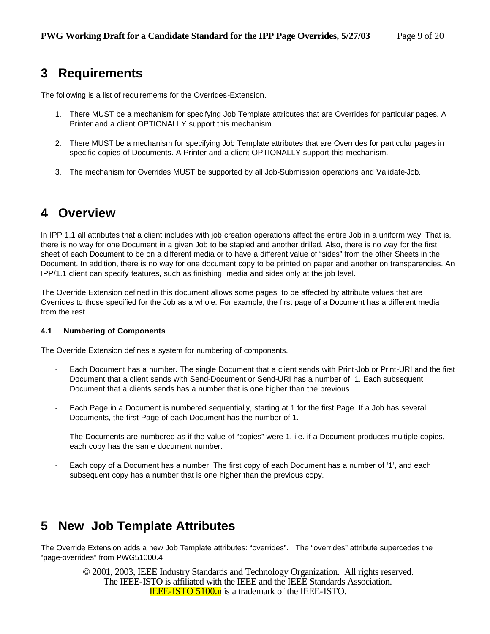### **3 Requirements**

The following is a list of requirements for the Overrides-Extension.

- 1. There MUST be a mechanism for specifying Job Template attributes that are Overrides for particular pages. A Printer and a client OPTIONALLY support this mechanism.
- 2. There MUST be a mechanism for specifying Job Template attributes that are Overrides for particular pages in specific copies of Documents. A Printer and a client OPTIONALLY support this mechanism.
- 3. The mechanism for Overrides MUST be supported by all Job-Submission operations and Validate-Job.

### **4 Overview**

In IPP 1.1 all attributes that a client includes with job creation operations affect the entire Job in a uniform way. That is, there is no way for one Document in a given Job to be stapled and another drilled. Also, there is no way for the first sheet of each Document to be on a different media or to have a different value of "sides" from the other Sheets in the Document. In addition, there is no way for one document copy to be printed on paper and another on transparencies. An IPP/1.1 client can specify features, such as finishing, media and sides only at the job level.

The Override Extension defined in this document allows some pages, to be affected by attribute values that are Overrides to those specified for the Job as a whole. For example, the first page of a Document has a different media from the rest.

#### **4.1 Numbering of Components**

The Override Extension defines a system for numbering of components.

- Each Document has a number. The single Document that a client sends with Print-Job or Print-URI and the first Document that a client sends with Send-Document or Send-URI has a number of 1. Each subsequent Document that a clients sends has a number that is one higher than the previous.
- Each Page in a Document is numbered sequentially, starting at 1 for the first Page. If a Job has several Documents, the first Page of each Document has the number of 1.
- The Documents are numbered as if the value of "copies" were 1, i.e. if a Document produces multiple copies, each copy has the same document number.
- Each copy of a Document has a number. The first copy of each Document has a number of '1', and each subsequent copy has a number that is one higher than the previous copy.

### **5 New Job Template Attributes**

The Override Extension adds a new Job Template attributes: "overrides". The "overrides" attribute supercedes the "page-overrides" from PWG51000.4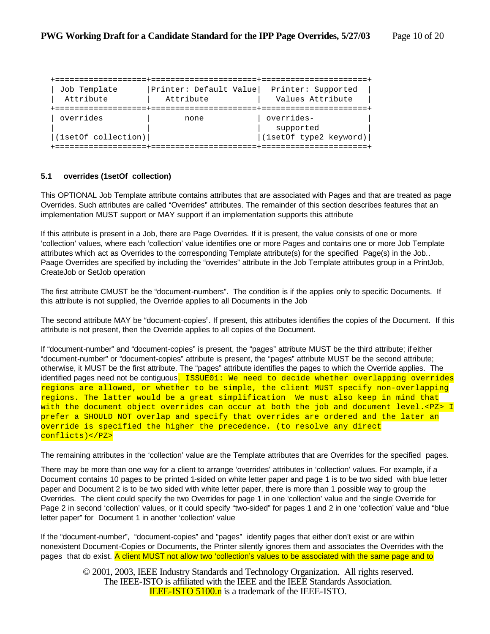| Job Template                     | Printer: Default Value | Printer: Supported                                |
|----------------------------------|------------------------|---------------------------------------------------|
| Attribute                        | Attribute              | Values Attribute                                  |
| overrides<br>(1setOf collection) | none                   | overrides-<br>supported<br>(1setOf type2 keyword) |

#### **5.1 overrides (1setOf collection)**

This OPTIONAL Job Template attribute contains attributes that are associated with Pages and that are treated as page Overrides. Such attributes are called "Overrides" attributes. The remainder of this section describes features that an implementation MUST support or MAY support if an implementation supports this attribute

If this attribute is present in a Job, there are Page Overrides. If it is present, the value consists of one or more 'collection' values, where each 'collection' value identifies one or more Pages and contains one or more Job Template attributes which act as Overrides to the corresponding Template attribute(s) for the specified Page(s) in the Job.. Paage Overrides are specified by including the "overrides" attribute in the Job Template attributes group in a PrintJob, CreateJob or SetJob operation

The first attribute CMUST be the "document-numbers". The condition is if the applies only to specific Documents. If this attribute is not supplied, the Override applies to all Documents in the Job

The second attribute MAY be "document-copies". If present, this attributes identifies the copies of the Document. If this attribute is not present, then the Override applies to all copies of the Document.

If "document-number" and "document-copies" is present, the "pages" attribute MUST be the third attribute; if either "document-number" or "document-copies" attribute is present, the "pages" attribute MUST be the second attribute; otherwise, it MUST be the first attribute. The "pages" attribute identifies the pages to which the Override applies. The identified pages need not be contiguous. ISSUE01: We need to decide whether overlapping overrides regions are allowed, or whether to be simple, the client MUST specify non-overlapping regions. The latter would be a great simplification We must also keep in mind that with the document object overrides can occur at both the job and document level.<PZ> I prefer a SHOULD NOT overlap and specify that overrides are ordered and the later an override is specified the higher the precedence. (to resolve any direct conflicts)</PZ>

The remaining attributes in the 'collection' value are the Template attributes that are Overrides for the specified pages.

There may be more than one way for a client to arrange 'overrides' attributes in 'collection' values. For example, if a Document contains 10 pages to be printed 1-sided on white letter paper and page 1 is to be two sided with blue letter paper and Document 2 is to be two sided with white letter paper, there is more than 1 possible way to group the Overrides. The client could specify the two Overrides for page 1 in one 'collection' value and the single Override for Page 2 in second 'collection' values, or it could specify "two-sided" for pages 1 and 2 in one 'collection' value and "blue letter paper" for Document 1 in another 'collection' value

If the "document-number", "document-copies" and "pages" identify pages that either don't exist or are within nonexistent Document-Copies or Documents, the Printer silently ignores them and associates the Overrides with the pages that do exist. A client MUST not allow two 'collection's values to be associated with the same page and to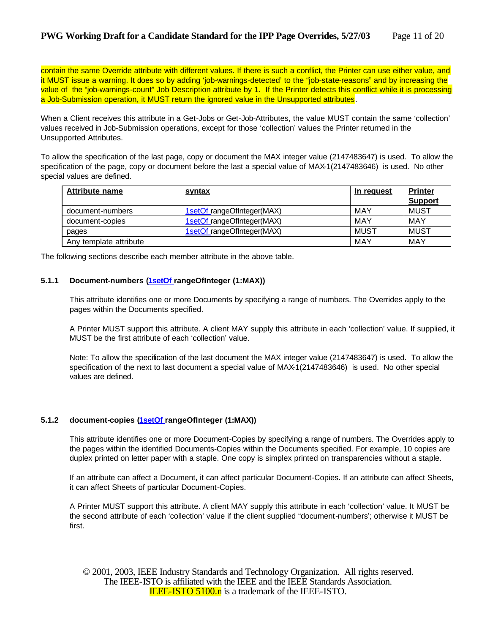contain the same Override attribute with different values. If there is such a conflict, the Printer can use either value, and it MUST issue a warning. It does so by adding 'job-warnings-detected' to the "job-state-reasons" and by increasing the value of the "job-warnings-count" Job Description attribute by 1. If the Printer detects this conflict while it is processing a Job-Submission operation, it MUST return the ignored value in the Unsupported attributes.

When a Client receives this attribute in a Get-Jobs or Get-Job-Attributes, the value MUST contain the same 'collection' values received in Job-Submission operations, except for those 'collection' values the Printer returned in the Unsupported Attributes.

To allow the specification of the last page, copy or document the MAX integer value (2147483647) is used. To allow the specification of the page, copy or document before the last a special value of MAX-1(2147483646) is used. No other special values are defined.

| <b>Attribute name</b>  | <u>syntax</u>              | In request | <b>Printer</b> |
|------------------------|----------------------------|------------|----------------|
|                        |                            |            | <b>Support</b> |
| document-numbers       | 1setOf rangeOfInteger(MAX) | MAY        | <b>MUST</b>    |
| document-copies        | 1setOf rangeOfInteger(MAX) | MAY        | MAY            |
| pages                  | 1setOf rangeOfInteger(MAX) | MUST       | MUST           |
| Any template attribute |                            | <b>MAY</b> | <b>MAY</b>     |

The following sections describe each member attribute in the above table.

#### **5.1.1 Document-numbers (1setOf rangeOfInteger (1:MAX))**

This attribute identifies one or more Documents by specifying a range of numbers. The Overrides apply to the pages within the Documents specified.

A Printer MUST support this attribute. A client MAY supply this attribute in each 'collection' value. If supplied, it MUST be the first attribute of each 'collection' value.

Note: To allow the specification of the last document the MAX integer value (2147483647) is used. To allow the specification of the next to last document a special value of MAX-1(2147483646) is used. No other special values are defined.

#### **5.1.2 document-copies (1setOf rangeOfInteger (1:MAX))**

This attribute identifies one or more Document-Copies by specifying a range of numbers. The Overrides apply to the pages within the identified Documents-Copies within the Documents specified. For example, 10 copies are duplex printed on letter paper with a staple. One copy is simplex printed on transparencies without a staple.

If an attribute can affect a Document, it can affect particular Document-Copies. If an attribute can affect Sheets, it can affect Sheets of particular Document-Copies.

A Printer MUST support this attribute. A client MAY supply this attribute in each 'collection' value. It MUST be the second attribute of each 'collection' value if the client supplied "document-numbers'; otherwise it MUST be first.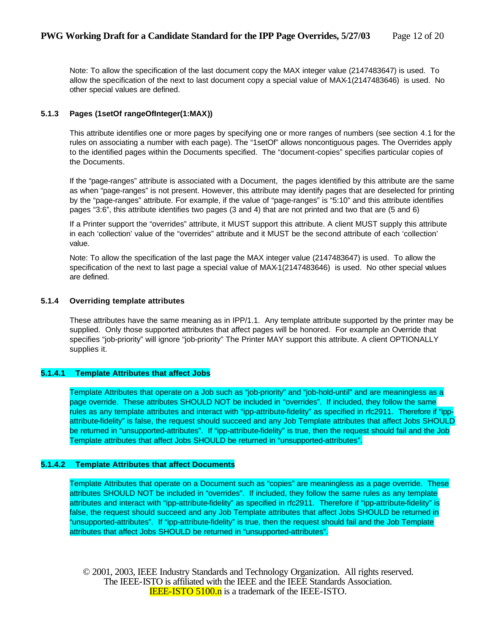Note: To allow the specification of the last document copy the MAX integer value (2147483647) is used. To allow the specification of the next to last document copy a special value of MAX-1(2147483646) is used. No other special values are defined.

#### **5.1.3 Pages (1setOf rangeOfInteger(1:MAX))**

This attribute identifies one or more pages by specifying one or more ranges of numbers (see section 4.1 for the rules on associating a number with each page). The "1setOf" allows noncontiguous pages. The Overrides apply to the identified pages within the Documents specified. The "document-copies" specifies particular copies of the Documents.

If the "page-ranges" attribute is associated with a Document, the pages identified by this attribute are the same as when "page-ranges" is not present. However, this attribute may identify pages that are deselected for printing by the "page-ranges" attribute. For example, if the value of "page-ranges" is "5:10" and this attribute identifies pages "3:6", this attribute identifies two pages (3 and 4) that are not printed and two that are (5 and 6)

If a Printer support the "overrides" attribute, it MUST support this attribute. A client MUST supply this attribute in each 'collection' value of the "overrides" attribute and it MUST be the second attribute of each 'collection' value.

Note: To allow the specification of the last page the MAX integer value (2147483647) is used. To allow the specification of the next to last page a special value of MAX-1(2147483646) is used. No other special values are defined.

#### **5.1.4 Overriding template attributes**

These attributes have the same meaning as in IPP/1.1. Any template attribute supported by the printer may be supplied. Only those supported attributes that affect pages will be honored. For example an Override that specifies "job-priority" will ignore "job-priority" The Printer MAY support this attribute. A client OPTIONALLY supplies it.

#### **5.1.4.1 Template Attributes that affect Jobs**

Template Attributes that operate on a Job such as "job-priority" and "job-hold-until" and are meaningless as a page override. These attributes SHOULD NOT be included in "overrides". If included, they follow the same rules as any template attributes and interact with "ipp-attribute-fidelity" as specified in rfc2911. Therefore if "ippattribute-fidelity" is false, the request should succeed and any Job Template attributes that affect Jobs SHOULD be returned in "unsupported-attributes". If "ipp-attribute-fidelity" is true, then the request should fail and the Job Template attributes that affect Jobs SHOULD be returned in "unsupported-attributes".

### **5.1.4.2 Template Attributes that affect Documents**

Template Attributes that operate on a Document such as "copies" are meaningless as a page override. These attributes SHOULD NOT be included in "overrides". If included, they follow the same rules as any template attributes and interact with "ipp-attribute-fidelity" as specified in rfc2911. Therefore if "ipp-attribute-fidelity" is false, the request should succeed and any Job Template attributes that affect Jobs SHOULD be returned in "unsupported-attributes". If "ipp-attribute-fidelity" is true, then the request should fail and the Job Template attributes that affect Jobs SHOULD be returned in "unsupported-attributes".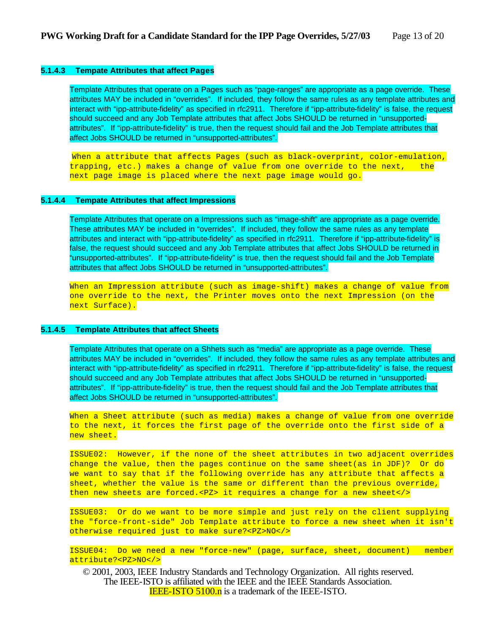#### **5.1.4.3 Tempate Attributes that affect Pages**

Template Attributes that operate on a Pages such as "page-ranges" are appropriate as a page override. These attributes MAY be included in "overrides". If included, they follow the same rules as any template attributes and interact with "ipp-attribute-fidelity" as specified in rfc2911. Therefore if "ipp-attribute-fidelity" is false, the request should succeed and any Job Template attributes that affect Jobs SHOULD be returned in "unsupportedattributes". If "ipp-attribute-fidelity" is true, then the request should fail and the Job Template attributes that affect Jobs SHOULD be returned in "unsupported-attributes".

When a attribute that affects Pages (such as black-overprint, color-emulation, trapping, etc.) makes a change of value from one override to the next, the next page image is placed where the next page image would go.

#### **5.1.4.4 Tempate Attributes that affect Impressions**

Template Attributes that operate on a Impressions such as "image-shift" are appropriate as a page override. These attributes MAY be included in "overrides". If included, they follow the same rules as any template attributes and interact with "ipp-attribute-fidelity" as specified in rfc2911. Therefore if "ipp-attribute-fidelity" is false, the request should succeed and any Job Template attributes that affect Jobs SHOULD be returned in "unsupported-attributes". If "ipp-attribute-fidelity" is true, then the request should fail and the Job Template attributes that affect Jobs SHOULD be returned in "unsupported-attributes".

When an Impression attribute (such as image-shift) makes a change of value from one override to the next, the Printer moves onto the next Impression (on the next Surface).

#### **5.1.4.5 Template Attributes that affect Sheets**

Template Attributes that operate on a Shhets such as "media" are appropriate as a page override. These attributes MAY be included in "overrides". If included, they follow the same rules as any template attributes and interact with "ipp-attribute-fidelity" as specified in rfc2911. Therefore if "ipp-attribute-fidelity" is false, the request should succeed and any Job Template attributes that affect Jobs SHOULD be returned in "unsupportedattributes". If "ipp-attribute-fidelity" is true, then the request should fail and the Job Template attributes that affect Jobs SHOULD be returned in "unsupported-attributes".

When a Sheet attribute (such as media) makes a change of value from one override to the next, it forces the first page of the override onto the first side of a new sheet.

ISSUE02: However, if the none of the sheet attributes in two adjacent overrides change the value, then the pages continue on the same sheet(as in JDF)? Or do we want to say that if the following override has any attribute that affects a sheet, whether the value is the same or different than the previous override, then new sheets are forced.<PZ> it requires a change for a new sheet</>></>>

ISSUE03: Or do we want to be more simple and just rely on the client supplying the "force-front-side" Job Template attribute to force a new sheet when it isn't otherwise required just to make sure?<PZ>NO</>

ISSUE04: Do we need a new "force-new" (page, surface, sheet, document) member attribute?<PZ>NO</>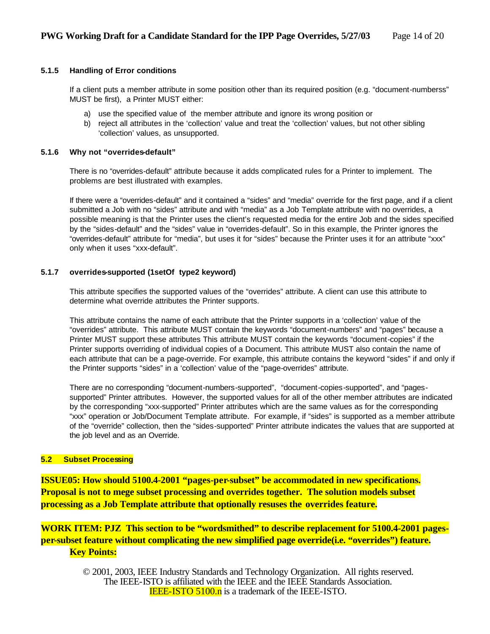#### **5.1.5 Handling of Error conditions**

If a client puts a member attribute in some position other than its required position (e.g. "document-numberss" MUST be first), a Printer MUST either:

- a) use the specified value of the member attribute and ignore its wrong position or
- b) reject all attributes in the 'collection' value and treat the 'collection' values, but not other sibling 'collection' values, as unsupported.

#### **5.1.6 Why not "overrides-default"**

There is no "overrides-default" attribute because it adds complicated rules for a Printer to implement. The problems are best illustrated with examples.

If there were a "overrides-default" and it contained a "sides" and "media" override for the first page, and if a client submitted a Job with no "sides" attribute and with "media" as a Job Template attribute with no overrides, a possible meaning is that the Printer uses the client's requested media for the entire Job and the sides specified by the "sides-default" and the "sides" value in "overrides-default". So in this example, the Printer ignores the "overrides-default" attribute for "media", but uses it for "sides" because the Printer uses it for an attribute "xxx" only when it uses "xxx-default".

#### **5.1.7 overrides-supported (1setOf type2 keyword)**

This attribute specifies the supported values of the "overrides" attribute. A client can use this attribute to determine what override attributes the Printer supports.

This attribute contains the name of each attribute that the Printer supports in a 'collection' value of the "overrides" attribute. This attribute MUST contain the keywords "document-numbers" and "pages" because a Printer MUST support these attributes This attribute MUST contain the keywords "document-copies" if the Printer supports overriding of individual copies of a Document. This attribute MUST also contain the name of each attribute that can be a page-override. For example, this attribute contains the keyword "sides" if and only if the Printer supports "sides" in a 'collection' value of the "page-overrides" attribute.

There are no corresponding "document-numbers-supported", "document-copies-supported", and "pagessupported" Printer attributes. However, the supported values for all of the other member attributes are indicated by the corresponding "xxx-supported" Printer attributes which are the same values as for the corresponding "xxx" operation or Job/Document Template attribute. For example, if "sides" is supported as a member attribute of the "override" collection, then the "sides-supported" Printer attribute indicates the values that are supported at the job level and as an Override.

#### **5.2 Subset Processing**

**ISSUE05: How should 5100.4-2001 "pages-per-subset" be accommodated in new specifications. Proposal is not to mege subset processing and overrides together. The solution models subset processing as a Job Template attribute that optionally resuses the overrides feature.**

**WORK ITEM: PJZ This section to be "wordsmithed" to describe replacement for 5100.4-2001 pagesper-subset feature without complicating the new simplified page override(i.e. "overrides") feature. Key Points:**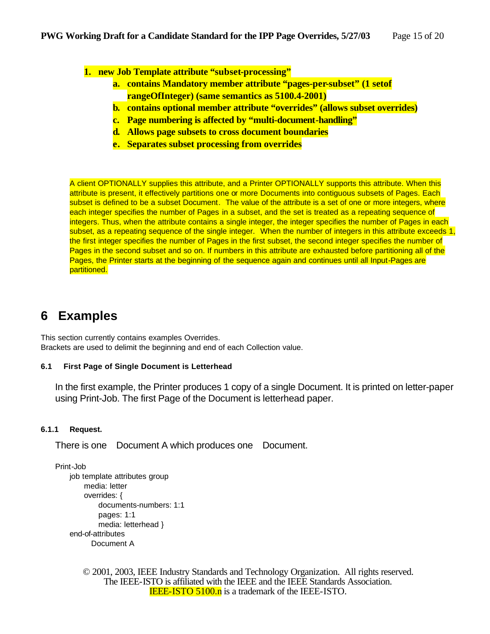**1. new Job Template attribute "subset-processing"**

- **a. contains Mandatory member attribute "pages-per-subset" (1 setof rangeOfInteger) (same semantics as 5100.4-2001)**
- **b. contains optional member attribute "overrides" (allows subset overrides)**
- **c. Page numbering is affected by "multi-document-handling"**
- **d. Allows page subsets to cross document boundaries**
- **e. Separates subset processing from overrides**

A client OPTIONALLY supplies this attribute, and a Printer OPTIONALLY supports this attribute. When this attribute is present, it effectively partitions one or more Documents into contiguous subsets of Pages. Each subset is defined to be a subset Document. The value of the attribute is a set of one or more integers, where each integer specifies the number of Pages in a subset, and the set is treated as a repeating sequence of integers. Thus, when the attribute contains a single integer, the integer specifies the number of Pages in each subset, as a repeating sequence of the single integer. When the number of integers in this attribute exceeds 1, the first integer specifies the number of Pages in the first subset, the second integer specifies the number of Pages in the second subset and so on. If numbers in this attribute are exhausted before partitioning all of the Pages, the Printer starts at the beginning of the sequence again and continues until all Input-Pages are partitioned.

### **6 Examples**

This section currently contains examples Overrides. Brackets are used to delimit the beginning and end of each Collection value.

#### **6.1 First Page of Single Document is Letterhead**

In the first example, the Printer produces 1 copy of a single Document. It is printed on letter-paper using Print-Job. The first Page of the Document is letterhead paper.

#### **6.1.1 Request.**

There is one Document A which produces one Document.

Print-Job

```
job template attributes group
    media: letter
    overrides: {
        documents-numbers: 1:1 
        pages: 1:1
        media: letterhead }
end-of-attributes
       Document A
```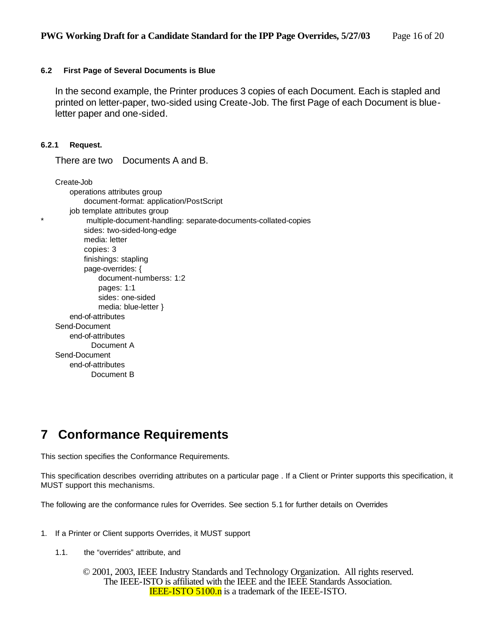#### **6.2 First Page of Several Documents is Blue**

In the second example, the Printer produces 3 copies of each Document. Each is stapled and printed on letter-paper, two-sided using Create-Job. The first Page of each Document is blueletter paper and one-sided.

#### **6.2.1 Request.**

There are two Documents A and B.

Create-Job operations attributes group document-format: application/PostScript job template attributes group multiple-document-handling: separate-documents-collated-copies sides: two-sided-long-edge media: letter copies: 3 finishings: stapling page-overrides: { document-numberss: 1:2 pages: 1:1 sides: one-sided media: blue-letter } end-of-attributes Send-Document end-of-attributes Document A Send-Document end-of-attributes Document B

### **7 Conformance Requirements**

This section specifies the Conformance Requirements.

This specification describes overriding attributes on a particular page . If a Client or Printer supports this specification, it MUST support this mechanisms.

The following are the conformance rules for Overrides. See section 5.1 for further details on Overrides

- 1. If a Printer or Client supports Overrides, it MUST support
	- 1.1. the "overrides" attribute, and
		- © 2001, 2003, IEEE Industry Standards and Technology Organization. All rights reserved. The IEEE-ISTO is affiliated with the IEEE and the IEEE Standards Association. **IEEE-ISTO 5100.n** is a trademark of the IEEE-ISTO.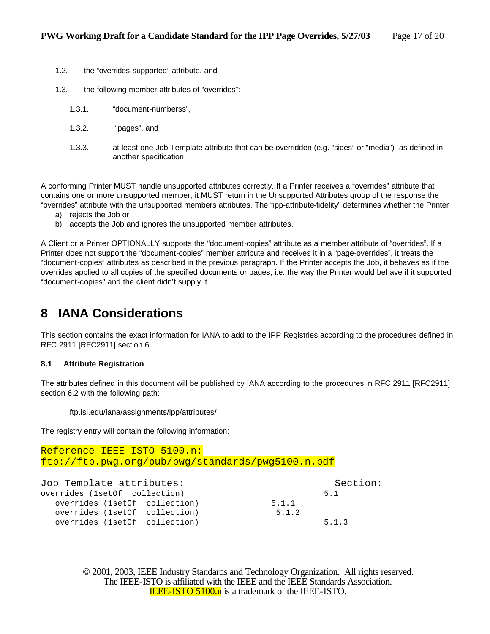- 1.2. the "overrides-supported" attribute, and
- 1.3. the following member attributes of "overrides":
	- 1.3.1. "document-numberss",
	- 1.3.2. "pages", and
	- 1.3.3. at least one Job Template attribute that can be overridden (e.g. "sides" or "media") as defined in another specification.

A conforming Printer MUST handle unsupported attributes correctly. If a Printer receives a "overrides" attribute that contains one or more unsupported member, it MUST return in the Unsupported Attributes group of the response the "overrides" attribute with the unsupported members attributes. The "ipp-attribute-fidelity" determines whether the Printer

- a) rejects the Job or
- b) accepts the Job and ignores the unsupported member attributes.

A Client or a Printer OPTIONALLY supports the "document-copies" attribute as a member attribute of "overrides". If a Printer does not support the "document-copies" member attribute and receives it in a "page-overrides", it treats the "document-copies" attributes as described in the previous paragraph. If the Printer accepts the Job, it behaves as if the overrides applied to all copies of the specified documents or pages, i.e. the way the Printer would behave if it supported "document-copies" and the client didn't supply it.

### **8 IANA Considerations**

This section contains the exact information for IANA to add to the IPP Registries according to the procedures defined in RFC 2911 [RFC2911] section 6.

#### **8.1 Attribute Registration**

The attributes defined in this document will be published by IANA according to the procedures in RFC 2911 [RFC2911] section 6.2 with the following path:

ftp.isi.edu/iana/assignments/ipp/attributes/

The registry entry will contain the following information:

```
Reference IEEE-ISTO 5100.n:
ftp://ftp.pwg.org/pub/pwg/standards/pwg5100.n.pdf
```

| Job Template attributes:       | Section: |       |
|--------------------------------|----------|-------|
| overrides (1setOf collection)  |          | 5.1   |
| overrides (1set of collection) | 5.1.1    |       |
| overrides (1set of collection) | 5.1.2    |       |
| overrides (1set of collection) |          | 5.1.3 |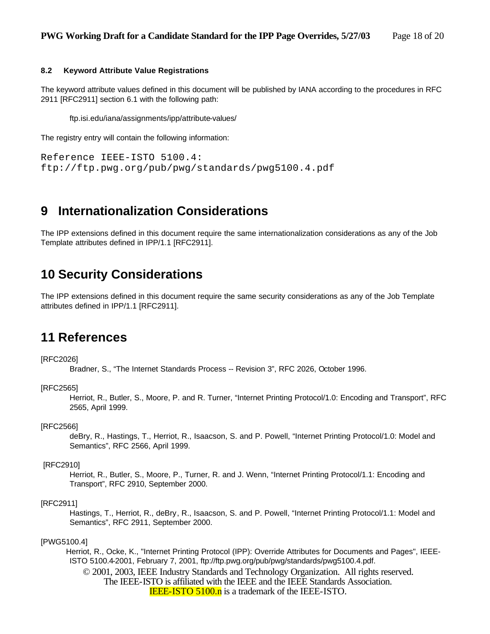#### **8.2 Keyword Attribute Value Registrations**

The keyword attribute values defined in this document will be published by IANA according to the procedures in RFC 2911 [RFC2911] section 6.1 with the following path:

ftp.isi.edu/iana/assignments/ipp/attribute-values/

The registry entry will contain the following information:

```
Reference IEEE-ISTO 5100.4: 
ftp://ftp.pwg.org/pub/pwg/standards/pwg5100.4.pdf
```
### **9 Internationalization Considerations**

The IPP extensions defined in this document require the same internationalization considerations as any of the Job Template attributes defined in IPP/1.1 [RFC2911].

### **10 Security Considerations**

The IPP extensions defined in this document require the same security considerations as any of the Job Template attributes defined in IPP/1.1 [RFC2911].

### **11 References**

[RFC2026]

Bradner, S., "The Internet Standards Process -- Revision 3", RFC 2026, October 1996.

#### [RFC2565]

Herriot, R., Butler, S., Moore, P. and R. Turner, "Internet Printing Protocol/1.0: Encoding and Transport", RFC 2565, April 1999.

#### [RFC2566]

deBry, R., Hastings, T., Herriot, R., Isaacson, S. and P. Powell, "Internet Printing Protocol/1.0: Model and Semantics", RFC 2566, April 1999.

#### [RFC2910]

Herriot, R., Butler, S., Moore, P., Turner, R. and J. Wenn, "Internet Printing Protocol/1.1: Encoding and Transport", RFC 2910, September 2000.

#### [RFC2911]

Hastings, T., Herriot, R., deBry, R., Isaacson, S. and P. Powell, "Internet Printing Protocol/1.1: Model and Semantics", RFC 2911, September 2000.

#### [PWG5100.4]

© 2001, 2003, IEEE Industry Standards and Technology Organization. All rights reserved. Herriot, R., Ocke, K., "Internet Printing Protocol (IPP): Override Attributes for Documents and Pages", IEEE-ISTO 5100.4-2001, February 7, 2001, ftp://ftp.pwg.org/pub/pwg/standards/pwg5100.4.pdf.

The IEEE-ISTO is affiliated with the IEEE and the IEEE Standards Association. **IEEE-ISTO 5100.n** is a trademark of the IEEE-ISTO.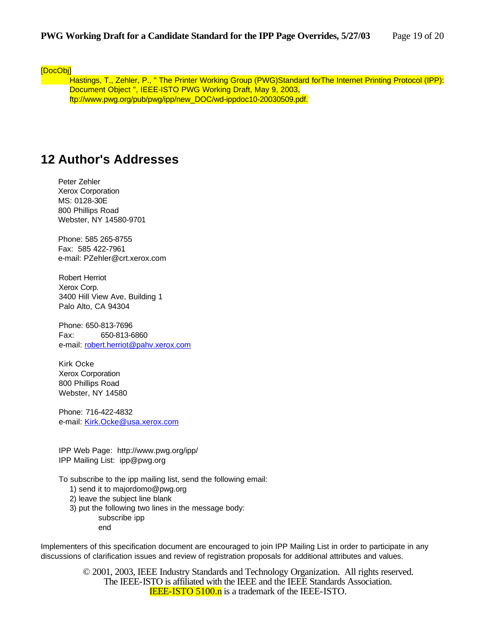[DocObj]

Hastings, T., Zehler, P., " The Printer Working Group (PWG)Standard for The Internet Printing Protocol (IPP): Document Object ", IEEE-ISTO PWG Working Draft, May 9, 2003, ftp://www.pwg.org/pub/pwg/ipp/new\_DOC/wd-ippdoc10-20030509.pdf.

### **12 Author's Addresses**

Peter Zehler Xerox Corporation MS: 0128-30E 800 Phillips Road Webster, NY 14580-9701

Phone: 585 265-8755 Fax: 585 422-7961 e-mail: PZehler@crt.xerox.com

Robert Herriot Xerox Corp. 3400 Hill View Ave, Building 1 Palo Alto, CA 94304

Phone: 650-813-7696 Fax: 650-813-6860 e-mail: robert.herriot@pahv.xerox.com

Kirk Ocke Xerox Corporation 800 Phillips Road Webster, NY 14580

Phone: 716-422-4832 e-mail: Kirk.Ocke@usa.xerox.com

IPP Web Page: http://www.pwg.org/ipp/ IPP Mailing List: ipp@pwg.org

To subscribe to the ipp mailing list, send the following email:

- 1) send it to majordomo@pwg.org
- 2) leave the subject line blank
- 3) put the following two lines in the message body: subscribe ipp

end

Implementers of this specification document are encouraged to join IPP Mailing List in order to participate in any discussions of clarification issues and review of registration proposals for additional attributes and values.